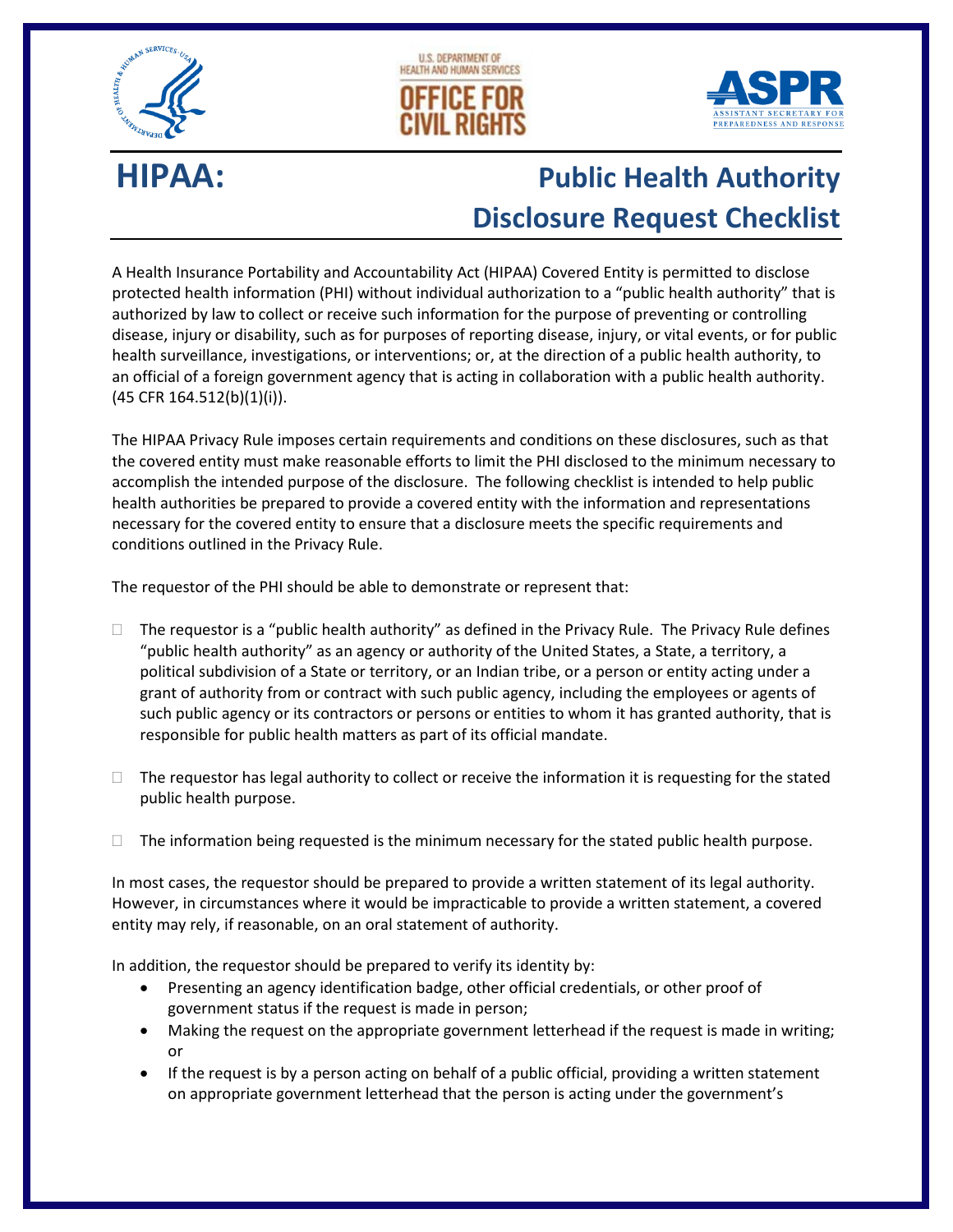





## **HIPAA: Public Health Authority Disclosure Request Checklist**

A Health Insurance Portability and Accountability Act (HIPAA) Covered Entity is permitted to disclose protected health information (PHI) without individual authorization to a "public health authority" that is authorized by law to collect or receive such information for the purpose of preventing or controlling disease, injury or disability, such as for purposes of reporting disease, injury, or vital events, or for public health surveillance, investigations, or interventions; or, at the direction of a public health authority, to an official of a foreign government agency that is acting in collaboration with a public health authority. (45 CFR 164.512(b)(1)(i)).

The HIPAA Privacy Rule imposes certain requirements and conditions on these disclosures, such as that the covered entity must make reasonable efforts to limit the PHI disclosed to the minimum necessary to accomplish the intended purpose of the disclosure. The following checklist is intended to help public health authorities be prepared to provide a covered entity with the information and representations necessary for the covered entity to ensure that a disclosure meets the specific requirements and conditions outlined in the Privacy Rule.

The requestor of the PHI should be able to demonstrate or represent that:

- $\Box$  The requestor is a "public health authority" as defined in the Privacy Rule. The Privacy Rule defines "public health authority" as an agency or authority of the United States, a State, a territory, a political subdivision of a State or territory, or an Indian tribe, or a person or entity acting under a grant of authority from or contract with such public agency, including the employees or agents of such public agency or its contractors or persons or entities to whom it has granted authority, that is responsible for public health matters as part of its official mandate.
- $\Box$  The requestor has legal authority to collect or receive the information it is requesting for the stated public health purpose.
- $\Box$  The information being requested is the minimum necessary for the stated public health purpose.

In most cases, the requestor should be prepared to provide a written statement of its legal authority. However, in circumstances where it would be impracticable to provide a written statement, a covered entity may rely, if reasonable, on an oral statement of authority.

In addition, the requestor should be prepared to verify its identity by:

- Presenting an agency identification badge, other official credentials, or other proof of government status if the request is made in person;
- Making the request on the appropriate government letterhead if the request is made in writing; or
- If the request is by a person acting on behalf of a public official, providing a written statement on appropriate government letterhead that the person is acting under the government's